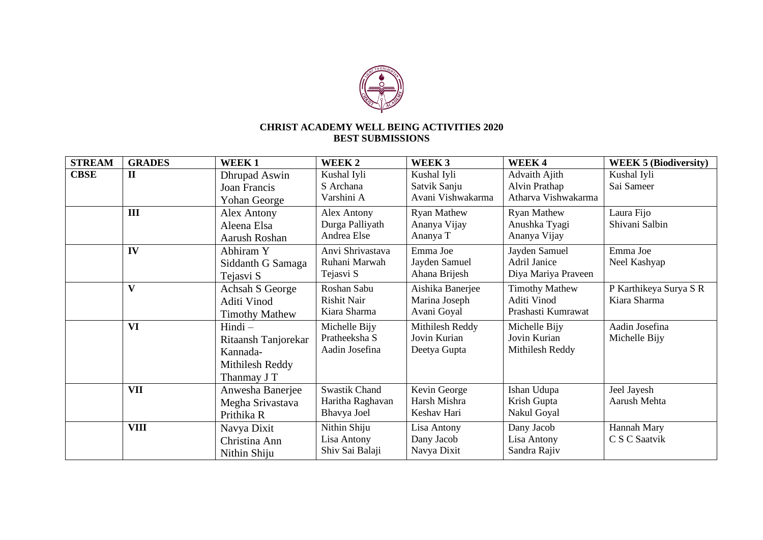

## **CHRIST ACADEMY WELL BEING ACTIVITIES 2020 BEST SUBMISSIONS**

| <b>STREAM</b> | <b>GRADES</b> | WEEK1                                                                          | WEEK <sub>2</sub>                                       | WEEK <sub>3</sub>                                | WEEK4                                                      | <b>WEEK 5 (Biodiversity)</b>           |
|---------------|---------------|--------------------------------------------------------------------------------|---------------------------------------------------------|--------------------------------------------------|------------------------------------------------------------|----------------------------------------|
| <b>CBSE</b>   | $\mathbf{I}$  | Dhrupad Aswin<br>Joan Francis<br>Yohan George                                  | Kushal Iyli<br>S Archana<br>Varshini A                  | Kushal Iyli<br>Satvik Sanju<br>Avani Vishwakarma | Advaith Ajith<br>Alvin Prathap<br>Atharva Vishwakarma      | Kushal Iyli<br>Sai Sameer              |
|               | Ш             | Alex Antony<br>Aleena Elsa<br>Aarush Roshan                                    | Alex Antony<br>Durga Palliyath<br>Andrea Else           | <b>Ryan Mathew</b><br>Ananya Vijay<br>Ananya T   | <b>Ryan Mathew</b><br>Anushka Tyagi<br>Ananya Vijay        | Laura Fijo<br>Shivani Salbin           |
|               | IV            | Abhiram Y<br>Siddanth G Samaga<br>Tejasvi S                                    | Anvi Shrivastava<br>Ruhani Marwah<br>Tejasvi S          | Emma Joe<br>Jayden Samuel<br>Ahana Brijesh       | Jayden Samuel<br>Adril Janice<br>Diya Mariya Praveen       | Emma Joe<br>Neel Kashyap               |
|               | $\mathbf{V}$  | Achsah S George<br>Aditi Vinod<br><b>Timothy Mathew</b>                        | Roshan Sabu<br><b>Rishit Nair</b><br>Kiara Sharma       | Aishika Banerjee<br>Marina Joseph<br>Avani Goyal | <b>Timothy Mathew</b><br>Aditi Vinod<br>Prashasti Kumrawat | P Karthikeya Surya S R<br>Kiara Sharma |
|               | <b>VI</b>     | $Hindi -$<br>Ritaansh Tanjorekar<br>Kannada-<br>Mithilesh Reddy<br>Thanmay J T | Michelle Bijy<br>Pratheeksha S<br>Aadin Josefina        | Mithilesh Reddy<br>Jovin Kurian<br>Deetya Gupta  | Michelle Bijy<br>Jovin Kurian<br>Mithilesh Reddy           | Aadin Josefina<br>Michelle Bijy        |
|               | <b>VII</b>    | Anwesha Banerjee<br>Megha Srivastava<br>Prithika R                             | <b>Swastik Chand</b><br>Haritha Raghavan<br>Bhavya Joel | Kevin George<br>Harsh Mishra<br>Keshav Hari      | Ishan Udupa<br>Krish Gupta<br>Nakul Goyal                  | Jeel Jayesh<br>Aarush Mehta            |
|               | <b>VIII</b>   | Navya Dixit<br>Christina Ann<br>Nithin Shiju                                   | Nithin Shiju<br>Lisa Antony<br>Shiv Sai Balaji          | Lisa Antony<br>Dany Jacob<br>Navya Dixit         | Dany Jacob<br>Lisa Antony<br>Sandra Rajiv                  | Hannah Mary<br>C S C Saatvik           |